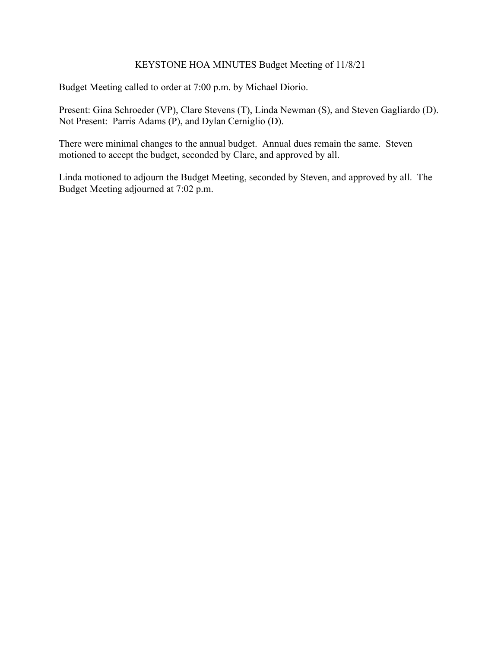# KEYSTONE HOA MINUTES Budget Meeting of 11/8/21

Budget Meeting called to order at 7:00 p.m. by Michael Diorio.

Present: Gina Schroeder (VP), Clare Stevens (T), Linda Newman (S), and Steven Gagliardo (D). Not Present: Parris Adams (P), and Dylan Cerniglio (D).

There were minimal changes to the annual budget. Annual dues remain the same. Steven motioned to accept the budget, seconded by Clare, and approved by all.

Linda motioned to adjourn the Budget Meeting, seconded by Steven, and approved by all. The Budget Meeting adjourned at 7:02 p.m.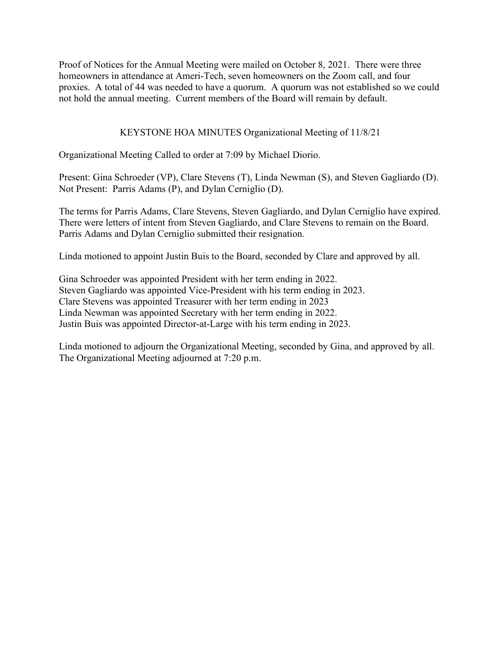Proof of Notices for the Annual Meeting were mailed on October 8, 2021. There were three homeowners in attendance at Ameri-Tech, seven homeowners on the Zoom call, and four proxies. A total of 44 was needed to have a quorum. A quorum was not established so we could not hold the annual meeting. Current members of the Board will remain by default.

## KEYSTONE HOA MINUTES Organizational Meeting of 11/8/21

Organizational Meeting Called to order at 7:09 by Michael Diorio.

Present: Gina Schroeder (VP), Clare Stevens (T), Linda Newman (S), and Steven Gagliardo (D). Not Present: Parris Adams (P), and Dylan Cerniglio (D).

The terms for Parris Adams, Clare Stevens, Steven Gagliardo, and Dylan Cerniglio have expired. There were letters of intent from Steven Gagliardo, and Clare Stevens to remain on the Board. Parris Adams and Dylan Cerniglio submitted their resignation.

Linda motioned to appoint Justin Buis to the Board, seconded by Clare and approved by all.

Gina Schroeder was appointed President with her term ending in 2022. Steven Gagliardo was appointed Vice-President with his term ending in 2023. Clare Stevens was appointed Treasurer with her term ending in 2023 Linda Newman was appointed Secretary with her term ending in 2022. Justin Buis was appointed Director-at-Large with his term ending in 2023.

Linda motioned to adjourn the Organizational Meeting, seconded by Gina, and approved by all. The Organizational Meeting adjourned at 7:20 p.m.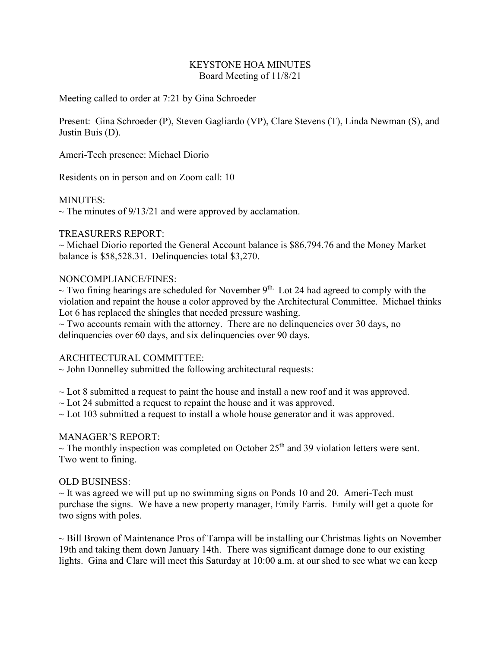### KEYSTONE HOA MINUTES Board Meeting of 11/8/21

Meeting called to order at 7:21 by Gina Schroeder

Present: Gina Schroeder (P), Steven Gagliardo (VP), Clare Stevens (T), Linda Newman (S), and Justin Buis (D).

Ameri-Tech presence: Michael Diorio

Residents on in person and on Zoom call: 10

#### MINUTES:

 $\sim$  The minutes of 9/13/21 and were approved by acclamation.

## TREASURERS REPORT:

 $\sim$  Michael Diorio reported the General Account balance is \$86,794.76 and the Money Market balance is \$58,528.31. Delinquencies total \$3,270.

#### NONCOMPLIANCE/FINES:

 $\sim$  Two fining hearings are scheduled for November 9<sup>th.</sup> Lot 24 had agreed to comply with the violation and repaint the house a color approved by the Architectural Committee. Michael thinks Lot 6 has replaced the shingles that needed pressure washing.

 $\sim$  Two accounts remain with the attorney. There are no delinguencies over 30 days, no delinquencies over 60 days, and six delinquencies over 90 days.

# ARCHITECTURAL COMMITTEE:

 $\sim$  John Donnelley submitted the following architectural requests:

 $\sim$  Lot 8 submitted a request to paint the house and install a new roof and it was approved.

- $\sim$  Lot 24 submitted a request to repaint the house and it was approved.
- $\sim$  Lot 103 submitted a request to install a whole house generator and it was approved.

#### MANAGER'S REPORT:

 $\sim$  The monthly inspection was completed on October 25<sup>th</sup> and 39 violation letters were sent. Two went to fining.

#### OLD BUSINESS:

 $\sim$  It was agreed we will put up no swimming signs on Ponds 10 and 20. Ameri-Tech must purchase the signs. We have a new property manager, Emily Farris. Emily will get a quote for two signs with poles.

 $\sim$  Bill Brown of Maintenance Pros of Tampa will be installing our Christmas lights on November 19th and taking them down January 14th. There was significant damage done to our existing lights. Gina and Clare will meet this Saturday at 10:00 a.m. at our shed to see what we can keep